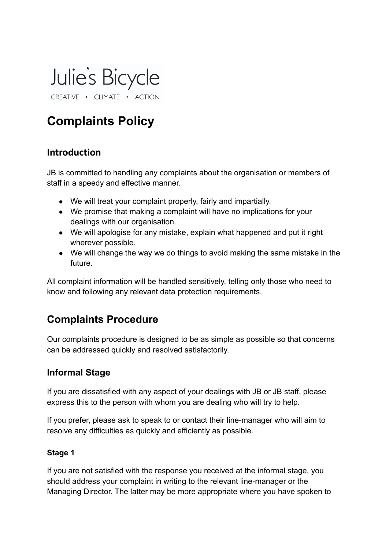

# **Complaints Policy**

#### **Introduction**

JB is committed to handling any complaints about the organisation or members of staff in a speedy and effective manner.

- We will treat your complaint properly, fairly and impartially.
- We promise that making a complaint will have no implications for your dealings with our organisation.
- We will apologise for any mistake, explain what happened and put it right wherever possible.
- We will change the way we do things to avoid making the same mistake in the future.

All complaint information will be handled sensitively, telling only those who need to know and following any relevant data protection requirements.

## **Complaints Procedure**

Our complaints procedure is designed to be as simple as possible so that concerns can be addressed quickly and resolved satisfactorily.

### **Informal Stage**

If you are dissatisfied with any aspect of your dealings with JB or JB staff, please express this to the person with whom you are dealing who will try to help.

If you prefer, please ask to speak to or contact their line-manager who will aim to resolve any difficulties as quickly and efficiently as possible.

#### **Stage 1**

If you are not satisfied with the response you received at the informal stage, you should address your complaint in writing to the relevant line-manager or the Managing Director. The latter may be more appropriate where you have spoken to